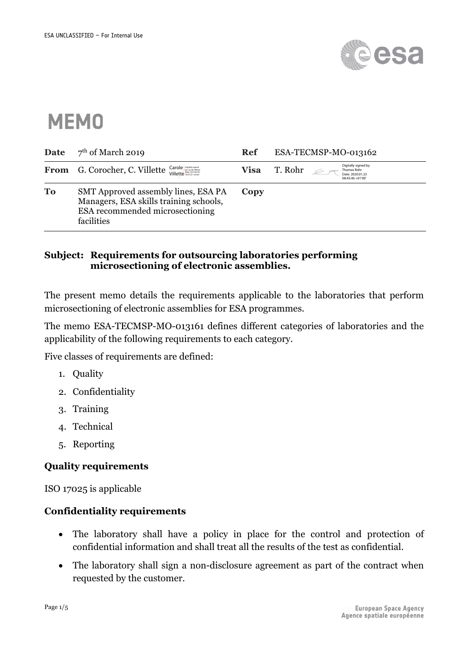

# **MEMO**

| Date      | $7th$ of March 2019                                                                                                            | Ref  | ESA-TECMSP-MO-013162                                                                  |
|-----------|--------------------------------------------------------------------------------------------------------------------------------|------|---------------------------------------------------------------------------------------|
|           | From G. Corocher, C. Villette Carole Supplement                                                                                | Visa | Digitally signed by<br>T. Rohr<br>Thomas Rohr<br>Date: 2020.01.23<br>08:45:46 +01'00' |
| <b>To</b> | SMT Approved assembly lines, ESA PA<br>Managers, ESA skills training schools,<br>ESA recommended microsectioning<br>facilities | Copy |                                                                                       |

#### **Subject: Requirements for outsourcing laboratories performing microsectioning of electronic assemblies.**

The present memo details the requirements applicable to the laboratories that perform microsectioning of electronic assemblies for ESA programmes.

The memo ESA-TECMSP-MO-013161 defines different categories of laboratories and the applicability of the following requirements to each category.

Five classes of requirements are defined:

- 1. Quality
- 2. Confidentiality
- 3. Training
- 4. Technical
- 5. Reporting

### **Quality requirements**

ISO 17025 is applicable

### **Confidentiality requirements**

- The laboratory shall have a policy in place for the control and protection of confidential information and shall treat all the results of the test as confidential.
- The laboratory shall sign a non-disclosure agreement as part of the contract when requested by the customer.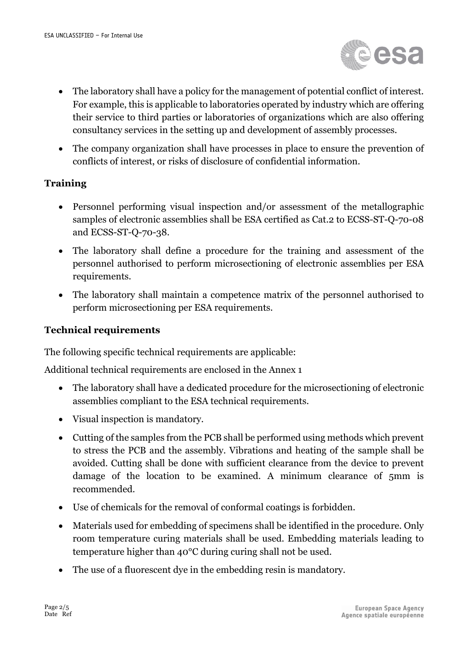

- The laboratory shall have a policy for the management of potential conflict of interest. For example, this is applicable to laboratories operated by industry which are offering their service to third parties or laboratories of organizations which are also offering consultancy services in the setting up and development of assembly processes.
- The company organization shall have processes in place to ensure the prevention of conflicts of interest, or risks of disclosure of confidential information.

## **Training**

- Personnel performing visual inspection and/or assessment of the metallographic samples of electronic assemblies shall be ESA certified as Cat.2 to ECSS-ST-Q-70-08 and ECSS-ST-Q-70-38.
- The laboratory shall define a procedure for the training and assessment of the personnel authorised to perform microsectioning of electronic assemblies per ESA requirements.
- The laboratory shall maintain a competence matrix of the personnel authorised to perform microsectioning per ESA requirements.

# **Technical requirements**

The following specific technical requirements are applicable:

Additional technical requirements are enclosed in the Annex 1

- The laboratory shall have a dedicated procedure for the microsectioning of electronic assemblies compliant to the ESA technical requirements.
- Visual inspection is mandatory.
- Cutting of the samples from the PCB shall be performed using methods which prevent to stress the PCB and the assembly. Vibrations and heating of the sample shall be avoided. Cutting shall be done with sufficient clearance from the device to prevent damage of the location to be examined. A minimum clearance of 5mm is recommended.
- Use of chemicals for the removal of conformal coatings is forbidden.
- Materials used for embedding of specimens shall be identified in the procedure. Only room temperature curing materials shall be used. Embedding materials leading to temperature higher than 40°C during curing shall not be used.
- The use of a fluorescent dye in the embedding resin is mandatory.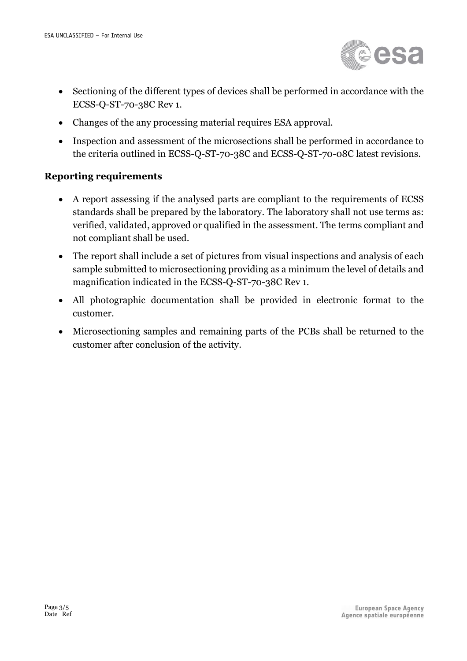

- Sectioning of the different types of devices shall be performed in accordance with the ECSS-Q-ST-70-38C Rev 1.
- Changes of the any processing material requires ESA approval.
- Inspection and assessment of the microsections shall be performed in accordance to the criteria outlined in ECSS-Q-ST-70-38C and ECSS-Q-ST-70-08C latest revisions.

## **Reporting requirements**

- A report assessing if the analysed parts are compliant to the requirements of ECSS standards shall be prepared by the laboratory. The laboratory shall not use terms as: verified, validated, approved or qualified in the assessment. The terms compliant and not compliant shall be used.
- The report shall include a set of pictures from visual inspections and analysis of each sample submitted to microsectioning providing as a minimum the level of details and magnification indicated in the ECSS-Q-ST-70-38C Rev 1.
- All photographic documentation shall be provided in electronic format to the customer.
- Microsectioning samples and remaining parts of the PCBs shall be returned to the customer after conclusion of the activity.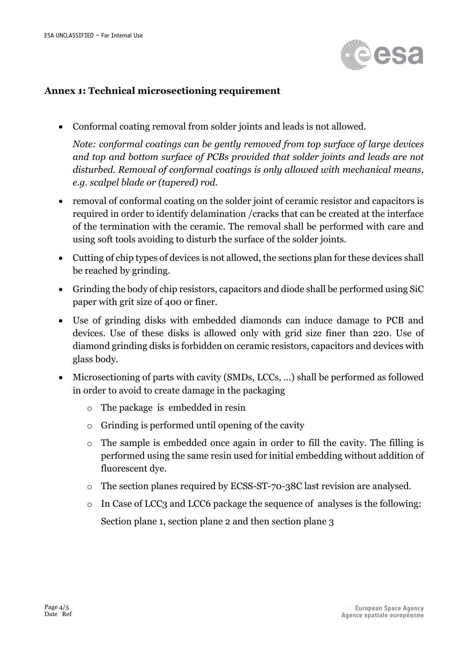

#### **Annex 1: Technical microsectioning requirement**

• Conformal coating removal from solder joints and leads is not allowed.

*Note: conformal coatings can be gently removed from top surface of large devices and top and bottom surface of PCBs provided that solder joints and leads are not disturbed. Removal of conformal coatings is only allowed with mechanical means, e.g. scalpel blade or (tapered) rod.*

- removal of conformal coating on the solder joint of ceramic resistor and capacitors is required in order to identify delamination /cracks that can be created at the interface of the termination with the ceramic. The removal shall be performed with care and using soft tools avoiding to disturb the surface of the solder joints.
- Cutting of chip types of devices is not allowed, the sections plan for these devices shall be reached by grinding.
- Grinding the body of chip resistors, capacitors and diode shall be performed using SiC paper with grit size of 400 or finer.
- Use of grinding disks with embedded diamonds can induce damage to PCB and devices. Use of these disks is allowed only with grid size finer than 220. Use of diamond grinding disks is forbidden on ceramic resistors, capacitors and devices with glass body.
- Microsectioning of parts with cavity (SMDs, LCCs, ...) shall be performed as followed in order to avoid to create damage in the packaging
	- o The package is embedded in resin
	- o Grinding is performed until opening of the cavity
	- o The sample is embedded once again in order to fill the cavity. The filling is performed using the same resin used for initial embedding without addition of fluorescent dye.
	- o The section planes required by ECSS-ST-70-38C last revision are analysed.
	- o In Case of LCC3 and LCC6 package the sequence of analyses is the following: Section plane 1, section plane 2 and then section plane 3